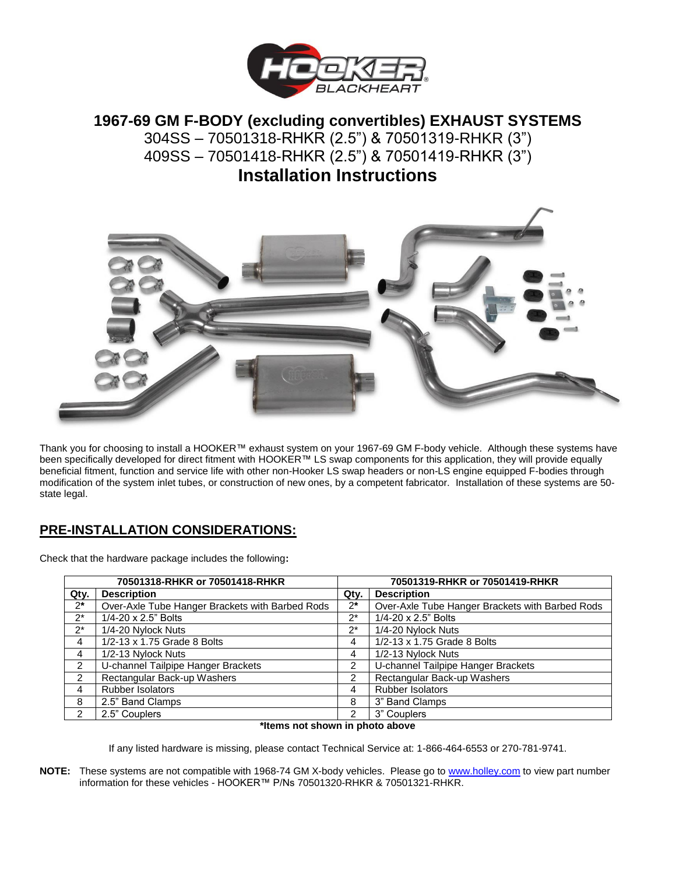

# **1967-69 GM F-BODY (excluding convertibles) EXHAUST SYSTEMS**  304SS – 70501318-RHKR (2.5") & 70501319-RHKR (3") 409SS – 70501418-RHKR (2.5") & 70501419-RHKR (3") **Installation Instructions**



Thank you for choosing to install a HOOKER™ exhaust system on your 1967-69 GM F-body vehicle. Although these systems have been specifically developed for direct fitment with HOOKER™ LS swap components for this application, they will provide equally beneficial fitment, function and service life with other non-Hooker LS swap headers or non-LS engine equipped F-bodies through modification of the system inlet tubes, or construction of new ones, by a competent fabricator. Installation of these systems are 50 state legal.

## **PRE-INSTALLATION CONSIDERATIONS:**

Check that the hardware package includes the following**:**

| 70501318-RHKR or 70501418-RHKR |                                                 | 70501319-RHKR or 70501419-RHKR |                                                 |
|--------------------------------|-------------------------------------------------|--------------------------------|-------------------------------------------------|
| Qty.                           | <b>Description</b>                              | Qty.                           | <b>Description</b>                              |
| $2^*$                          | Over-Axle Tube Hanger Brackets with Barbed Rods | $2^*$                          | Over-Axle Tube Hanger Brackets with Barbed Rods |
| $2^*$                          | 1/4-20 x 2.5" Bolts                             | $2^*$                          | 1/4-20 x 2.5" Bolts                             |
| $2^*$                          | 1/4-20 Nylock Nuts                              | $2^*$                          | 1/4-20 Nylock Nuts                              |
| 4                              | 1/2-13 x 1.75 Grade 8 Bolts                     | 4                              | 1/2-13 x 1.75 Grade 8 Bolts                     |
| 4                              | 1/2-13 Nylock Nuts                              | 4                              | 1/2-13 Nylock Nuts                              |
| 2                              | U-channel Tailpipe Hanger Brackets              | 2                              | U-channel Tailpipe Hanger Brackets              |
| 2                              | Rectangular Back-up Washers                     | $\overline{2}$                 | Rectangular Back-up Washers                     |
| 4                              | <b>Rubber Isolators</b>                         | 4                              | Rubber Isolators                                |
| 8                              | 2.5" Band Clamps                                | 8                              | 3" Band Clamps                                  |
|                                | 2.5" Couplers                                   | $\mathcal{P}$                  | 3" Couplers                                     |

#### **\*Items not shown in photo above**

If any listed hardware is missing, please contact Technical Service at: 1-866-464-6553 or 270-781-9741.

**NOTE:** These systems are not compatible with 1968-74 GM X-body vehicles. Please go to [www.holley.com](http://www.holley.com/) to view part number information for these vehicles - HOOKER™ P/Ns 70501320-RHKR & 70501321-RHKR.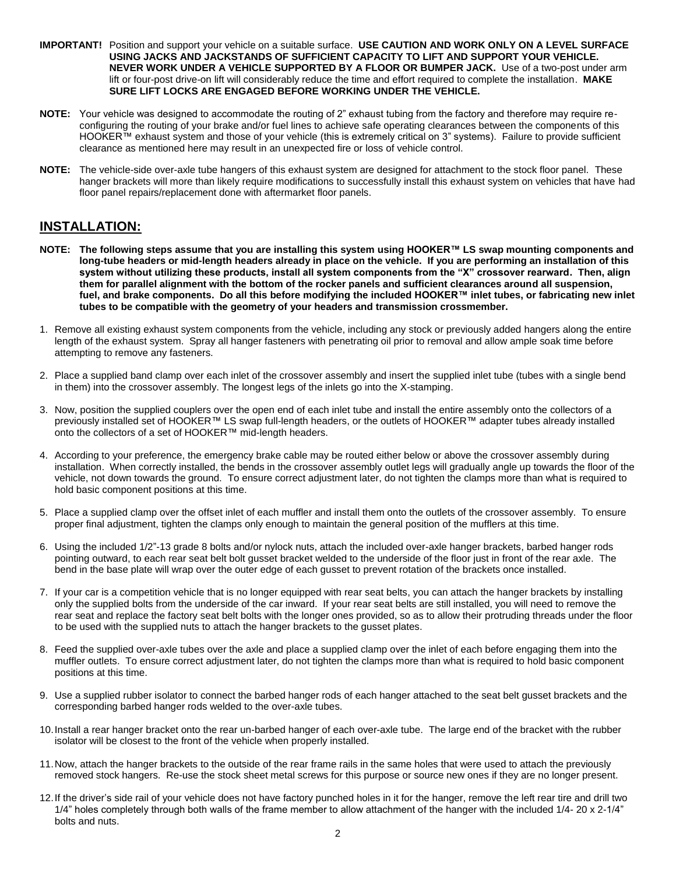- **IMPORTANT!** Position and support your vehicle on a suitable surface. **USE CAUTION AND WORK ONLY ON A LEVEL SURFACE USING JACKS AND JACKSTANDS OF SUFFICIENT CAPACITY TO LIFT AND SUPPORT YOUR VEHICLE. NEVER WORK UNDER A VEHICLE SUPPORTED BY A FLOOR OR BUMPER JACK.** Use of a two-post under arm lift or four-post drive-on lift will considerably reduce the time and effort required to complete the installation. **MAKE SURE LIFT LOCKS ARE ENGAGED BEFORE WORKING UNDER THE VEHICLE.**
- **NOTE:** Your vehicle was designed to accommodate the routing of 2" exhaust tubing from the factory and therefore may require reconfiguring the routing of your brake and/or fuel lines to achieve safe operating clearances between the components of this HOOKER™ exhaust system and those of your vehicle (this is extremely critical on 3" systems). Failure to provide sufficient clearance as mentioned here may result in an unexpected fire or loss of vehicle control.
- **NOTE:** The vehicle-side over-axle tube hangers of this exhaust system are designed for attachment to the stock floor panel. These hanger brackets will more than likely require modifications to successfully install this exhaust system on vehicles that have had floor panel repairs/replacement done with aftermarket floor panels.

### **INSTALLATION:**

- **NOTE: The following steps assume that you are installing this system using HOOKER™ LS swap mounting components and long-tube headers or mid-length headers already in place on the vehicle. If you are performing an installation of this system without utilizing these products, install all system components from the "X" crossover rearward. Then, align them for parallel alignment with the bottom of the rocker panels and sufficient clearances around all suspension, fuel, and brake components. Do all this before modifying the included HOOKER™ inlet tubes, or fabricating new inlet tubes to be compatible with the geometry of your headers and transmission crossmember.**
- 1. Remove all existing exhaust system components from the vehicle, including any stock or previously added hangers along the entire length of the exhaust system. Spray all hanger fasteners with penetrating oil prior to removal and allow ample soak time before attempting to remove any fasteners.
- 2. Place a supplied band clamp over each inlet of the crossover assembly and insert the supplied inlet tube (tubes with a single bend in them) into the crossover assembly. The longest legs of the inlets go into the X-stamping.
- 3. Now, position the supplied couplers over the open end of each inlet tube and install the entire assembly onto the collectors of a previously installed set of HOOKER™ LS swap full-length headers, or the outlets of HOOKER™ adapter tubes already installed onto the collectors of a set of HOOKER™ mid-length headers.
- 4. According to your preference, the emergency brake cable may be routed either below or above the crossover assembly during installation. When correctly installed, the bends in the crossover assembly outlet legs will gradually angle up towards the floor of the vehicle, not down towards the ground. To ensure correct adjustment later, do not tighten the clamps more than what is required to hold basic component positions at this time.
- 5. Place a supplied clamp over the offset inlet of each muffler and install them onto the outlets of the crossover assembly. To ensure proper final adjustment, tighten the clamps only enough to maintain the general position of the mufflers at this time.
- 6. Using the included 1/2"-13 grade 8 bolts and/or nylock nuts, attach the included over-axle hanger brackets, barbed hanger rods pointing outward, to each rear seat belt bolt gusset bracket welded to the underside of the floor just in front of the rear axle. The bend in the base plate will wrap over the outer edge of each gusset to prevent rotation of the brackets once installed.
- 7. If your car is a competition vehicle that is no longer equipped with rear seat belts, you can attach the hanger brackets by installing only the supplied bolts from the underside of the car inward. If your rear seat belts are still installed, you will need to remove the rear seat and replace the factory seat belt bolts with the longer ones provided, so as to allow their protruding threads under the floor to be used with the supplied nuts to attach the hanger brackets to the gusset plates.
- 8. Feed the supplied over-axle tubes over the axle and place a supplied clamp over the inlet of each before engaging them into the muffler outlets. To ensure correct adjustment later, do not tighten the clamps more than what is required to hold basic component positions at this time.
- 9. Use a supplied rubber isolator to connect the barbed hanger rods of each hanger attached to the seat belt gusset brackets and the corresponding barbed hanger rods welded to the over-axle tubes.
- 10.Install a rear hanger bracket onto the rear un-barbed hanger of each over-axle tube. The large end of the bracket with the rubber isolator will be closest to the front of the vehicle when properly installed.
- 11.Now, attach the hanger brackets to the outside of the rear frame rails in the same holes that were used to attach the previously removed stock hangers. Re-use the stock sheet metal screws for this purpose or source new ones if they are no longer present.
- 12.If the driver's side rail of your vehicle does not have factory punched holes in it for the hanger, remove the left rear tire and drill two 1/4" holes completely through both walls of the frame member to allow attachment of the hanger with the included 1/4- 20 x 2-1/4" bolts and nuts.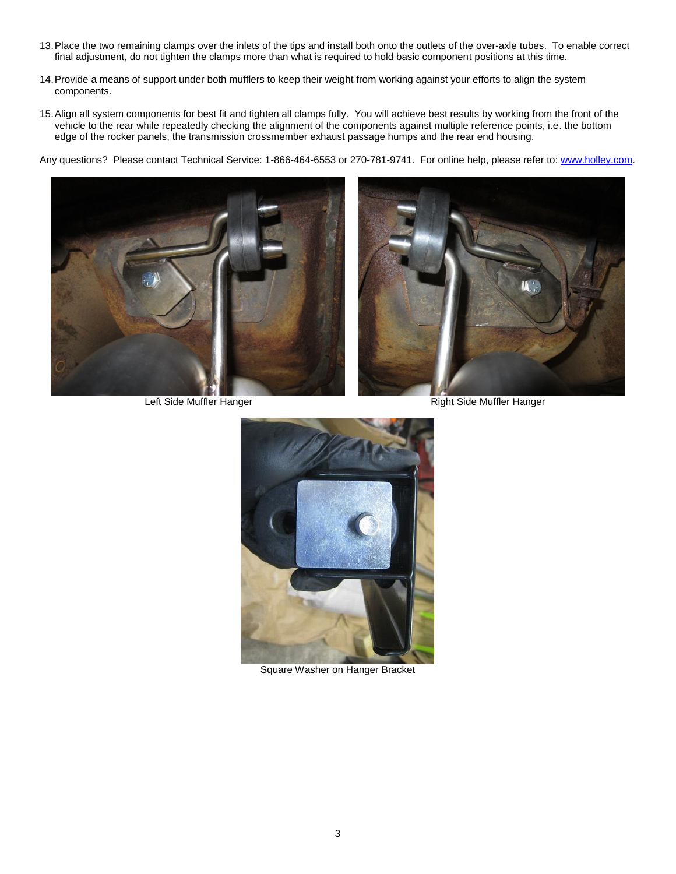- 13.Place the two remaining clamps over the inlets of the tips and install both onto the outlets of the over-axle tubes. To enable correct final adjustment, do not tighten the clamps more than what is required to hold basic component positions at this time.
- 14.Provide a means of support under both mufflers to keep their weight from working against your efforts to align the system components.
- 15.Align all system components for best fit and tighten all clamps fully. You will achieve best results by working from the front of the vehicle to the rear while repeatedly checking the alignment of the components against multiple reference points, i.e. the bottom edge of the rocker panels, the transmission crossmember exhaust passage humps and the rear end housing.

Any questions? Please contact Technical Service: 1-866-464-6553 or 270-781-9741. For online help, please refer to: [www.holley.com.](http://www.holley.com/)



Left Side Muffler Hanger Right Side Muffler Hanger





Square Washer on Hanger Bracket